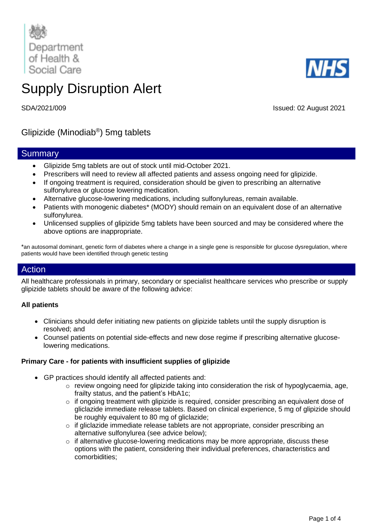

# Supply Disruption Alert

SDA/2021/009 Issued: 02 August 2021

Glipizide (Minodiab® ) 5mg tablets

## **Summary**

- Glipizide 5mg tablets are out of stock until mid-October 2021.
- Prescribers will need to review all affected patients and assess ongoing need for glipizide.
- If ongoing treatment is required, consideration should be given to prescribing an alternative sulfonylurea or glucose lowering medication.
- Alternative glucose-lowering medications, including sulfonylureas, remain available.
- Patients with monogenic diabetes\* (MODY) should remain on an equivalent dose of an alternative sulfonylurea.
- Unlicensed supplies of glipizide 5mg tablets have been sourced and may be considered where the above options are inappropriate.

\*an autosomal dominant, genetic form of diabetes where a change in a single gene is responsible for glucose dysregulation, where patients would have been identified through genetic testing

## Action

All healthcare professionals in primary, secondary or specialist healthcare services who prescribe or supply glipizide tablets should be aware of the following advice:

## **All patients**

- Clinicians should defer initiating new patients on glipizide tablets until the supply disruption is resolved; and
- Counsel patients on potential side-effects and new dose regime if prescribing alternative glucoselowering medications.

## **Primary Care - for patients with insufficient supplies of glipizide**

- GP practices should identify all affected patients and:
	- o review ongoing need for glipizide taking into consideration the risk of hypoglycaemia, age, frailty status, and the patient's HbA1c;
	- $\circ$  if ongoing treatment with glipizide is required, consider prescribing an equivalent dose of gliclazide immediate release tablets. Based on clinical experience, 5 mg of glipizide should be roughly equivalent to 80 mg of gliclazide;
	- $\circ$  if gliclazide immediate release tablets are not appropriate, consider prescribing an alternative sulfonylurea (see advice below);
	- o if alternative glucose-lowering medications may be more appropriate, discuss these options with the patient, considering their individual preferences, characteristics and comorbidities;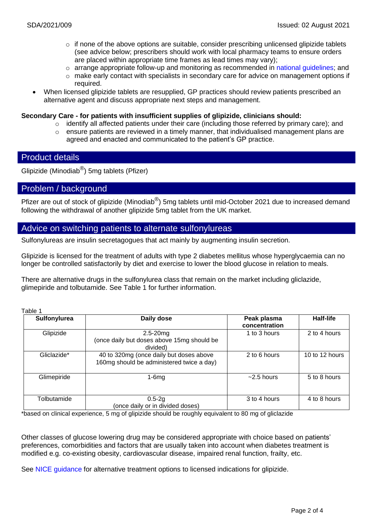- o if none of the above options are suitable, consider prescribing unlicensed glipizide tablets (see advice below; prescribers should work with local pharmacy teams to ensure orders are placed within appropriate time frames as lead times may vary);
- $\circ$  arrange appropriate follow-up and monitoring as recommended in [national guidelines;](https://www.nice.org.uk/guidance/ng28) and
- o make early contact with specialists in secondary care for advice on management options if required.
- When licensed glipizide tablets are resupplied, GP practices should review patients prescribed an alternative agent and discuss appropriate next steps and management.

#### **Secondary Care - for patients with insufficient supplies of glipizide, clinicians should:**

- $\circ$  identify all affected patients under their care (including those referred by primary care); and
- $\circ$  ensure patients are reviewed in a timely manner, that individualised management plans are agreed and enacted and communicated to the patient's GP practice.

## Product details

Glipizide (Minodiab<sup>®</sup>) 5mg tablets (Pfizer)

## Problem / background

Pfizer are out of stock of glipizide (Minodiab®) 5mg tablets until mid-October 2021 due to increased demand following the withdrawal of another glipizide 5mg tablet from the UK market.

## Advice on switching patients to alternate sulfonylureas

Sulfonylureas are insulin secretagogues that act mainly by augmenting insulin secretion.

Glipizide is licensed for the treatment of adults with type 2 diabetes mellitus whose hyperglycaemia can no longer be controlled satisfactorily by diet and exercise to lower the blood glucose in relation to meals.

There are alternative drugs in the sulfonylurea class that remain on the market including gliclazide, glimepiride and tolbutamide. See Table 1 for further information.

Table 1

| Sulfonylurea | Daily dose                                                                           | Peak plasma<br>concentration | Half-life      |
|--------------|--------------------------------------------------------------------------------------|------------------------------|----------------|
| Glipizide    | $2.5 - 20$ mg<br>(once daily but doses above 15mg should be<br>divided)              | 1 to 3 hours                 | 2 to 4 hours   |
| Gliclazide*  | 40 to 320mg (once daily but doses above<br>160mg should be administered twice a day) | 2 to 6 hours                 | 10 to 12 hours |
| Glimepiride  | $1-6mg$                                                                              | $~2.5$ hours                 | 5 to 8 hours   |
| Tolbutamide  | $0.5 - 2g$<br>(once daily or in divided doses)                                       | 3 to 4 hours                 | 4 to 8 hours   |

\*based on clinical experience, 5 mg of glipizide should be roughly equivalent to 80 mg of gliclazide

Other classes of glucose lowering drug may be considered appropriate with choice based on patients' preferences, comorbidities and factors that are usually taken into account when diabetes treatment is modified e.g. co-existing obesity, cardiovascular disease, impaired renal function, frailty, etc.

See NICE [guidance](https://www.nice.org.uk/guidance/ng28) for alternative treatment options to licensed indications for glipizide.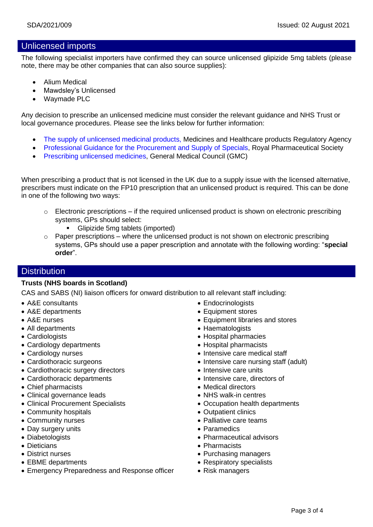## Unlicensed imports

The following specialist importers have confirmed they can source unlicensed glipizide 5mg tablets (please note, there may be other companies that can also source supplies):

- Alium Medical
- Mawdsley's Unlicensed
- Waymade PLC

Any decision to prescribe an unlicensed medicine must consider the relevant guidance and NHS Trust or local governance procedures. Please see the links below for further information:

- [The supply of unlicensed medicinal products,](https://assets.publishing.service.gov.uk/government/uploads/system/uploads/attachment_data/file/373505/The_supply_of_unlicensed_medicinal_products__specials_.pdf) Medicines and Healthcare products Regulatory Agency
- [Professional Guidance for the Procurement and Supply of Specials,](https://www.rpharms.com/Portals/0/RPS%20document%20library/Open%20access/Support/toolkit/specials-professional-guidance.pdf) Royal Pharmaceutical Society
- [Prescribing unlicensed medicines,](https://www.gmc-uk.org/ethical-guidance/ethical-guidance-for-doctors/good-practice-in-prescribing-and-managing-medicines-and-devices/prescribing-unlicensed-medicines#:~:text=You%20should%20usually%20prescribe%20licensed%20medicines%20in%20accordance,to%20meet%20the%20specific%20needs%20of%20the%20patient.) General Medical Council (GMC)

When prescribing a product that is not licensed in the UK due to a supply issue with the licensed alternative, prescribers must indicate on the FP10 prescription that an unlicensed product is required. This can be done in one of the following two ways:

- $\circ$  Electronic prescriptions if the required unlicensed product is shown on electronic prescribing systems, GPs should select:
	- Glipizide 5mg tablets (imported)
- $\circ$  Paper prescriptions where the unlicensed product is not shown on electronic prescribing systems, GPs should use a paper prescription and annotate with the following wording: "**special order**".

## **Distribution**

## **Trusts (NHS boards in Scotland)**

CAS and SABS (NI) liaison officers for onward distribution to all relevant staff including:

- A&E consultants
- A&E departments
- A&E nurses
- All departments
- Cardiologists
- Cardiology departments
- Cardiology nurses
- Cardiothoracic surgeons
- Cardiothoracic surgery directors
- Cardiothoracic departments
- Chief pharmacists
- Clinical governance leads
- Clinical Procurement Specialists
- Community hospitals
- Community nurses
- Day surgery units
- Diabetologists
- Dieticians
- District nurses
- EBME departments
- Emergency Preparedness and Response officer
- Endocrinologists
- Equipment stores
- Equipment libraries and stores
- Haematologists
- Hospital pharmacies
- Hospital pharmacists
- Intensive care medical staff
- Intensive care nursing staff (adult)
- Intensive care units
- Intensive care, directors of
- Medical directors
- NHS walk-in centres
- Occupation health departments
- Outpatient clinics
- Palliative care teams
- Paramedics
- Pharmaceutical advisors
- Pharmacists
- Purchasing managers
- Respiratory specialists
- Risk managers